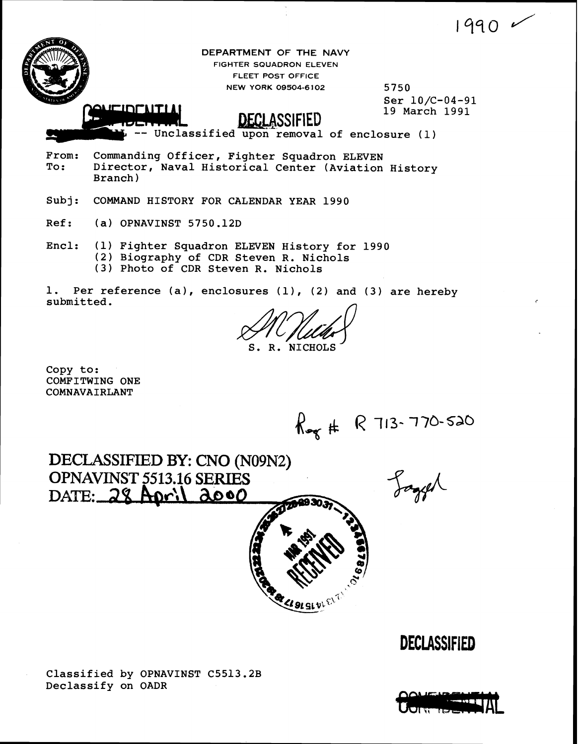$1990$ 



**DEPARTMENT OF THE NAVY FIGHTER SQUADRON ELEVEN FLEET POST OFFICE NEW YORK 09504-6 102** 

5750 Ser 10/C-04-91 19 March 1991

DECLASSIFIED

ssified upon removal of enclosure (1)

- From: Commanding Officer, Fighter Squadron ELEVEN<br>To: Director, Naval Historical Center (Aviation Director, Naval Historical Center (Aviation History Branch
- Subj: COMMAND HISTORY FOR CALENDAR YEAR 1990
- Ref: (a) OPNAVINST 5750.12D
- Encl: (1) Fighter Squadron ELEVEN History for 1990 (2) Biography of CDR Steven R. Nichols (3) Photo of CDR Steven R. Nichols

1. Per reference (a), enclosures (1), (2) and (3) are hereby submitted.

S. R. NICHOLS

Copy to: COMFITWING ONE COMNAVAIRLANT

 $R_{\bullet\sigma}$ # R 713-770-520

Logger

DECLASSIFIED **BY: CNO (N09N2) OPNAVINST 5513.16 SERIES** DATE: 28 April ನಿಂಂ

### **DECLASSIFIED**

Classified by OPNAVINST C5513.2B Declassify on OADR

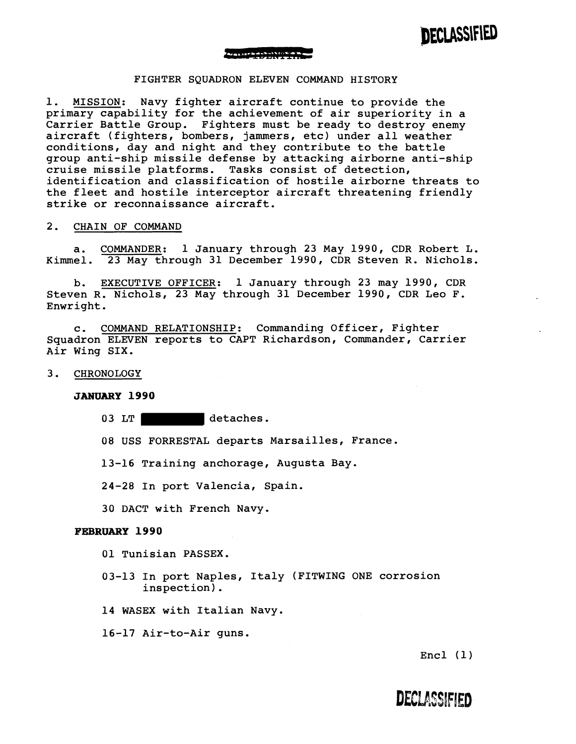#### .<br>Marin a ceann an a-mhair a' chuidh an an

### FIGHTER SQUADRON ELEVEN COMMAND HISTORY

MISSION: Navy fighter aircraft continue to provide the primary capability for the achievement of air superiority in a Carrier Battle Group. Fighters must be ready to destroy enemy aircraft (fighters, bombers, jammers, etc) under all weather conditions, day and night and they contribute to the battle group anti-ship missile defense by attacking airborne anti-ship cruise missile platforms. Tasks consist of detection, identification and classification of hostile airborne threats to the fleet and hostile interceptor aircraft threatening friendly strike or reconnaissance aircraft.

### 2. CHAIN OF COMMAND

a. COMMANDER: 1 January through 23 May 1990, CDR Robert L. Kimmel. 23 May through 31 December 1990, CDR Steven R. Nichols.

b. EXECUTIVE OFFICER: 1 January through 23 may 1990, CDR Steven R. Nichols, 23 May through 31 December 1990, CDR Leo F. Enwright .

c. COMMAND RELATIONSHIP: Commanding Officer, Fighter Squadron ELEVEN reports to CAPT Richardson, Commander, Carrier Air Wing SIX.

3. CHRONOLOGY

### **JANUARY 1990**

03 LT detaches.

08 USS FORRESTAL departs Marsailles, France.

13-16 Training anchorage, Augusta Bay.

24-28 In port Valencia, Spain.

30 DACT with French Navy.

#### **FEBRUARY 1990**

01 Tunisian PASSEX.

03-13 In port Naples, Italy (FITWING ONE corrosion inspection) .

14 WASEX with Italian Navy.

16-17 Air-to-Air guns.

 $Encl$   $(1)$ 

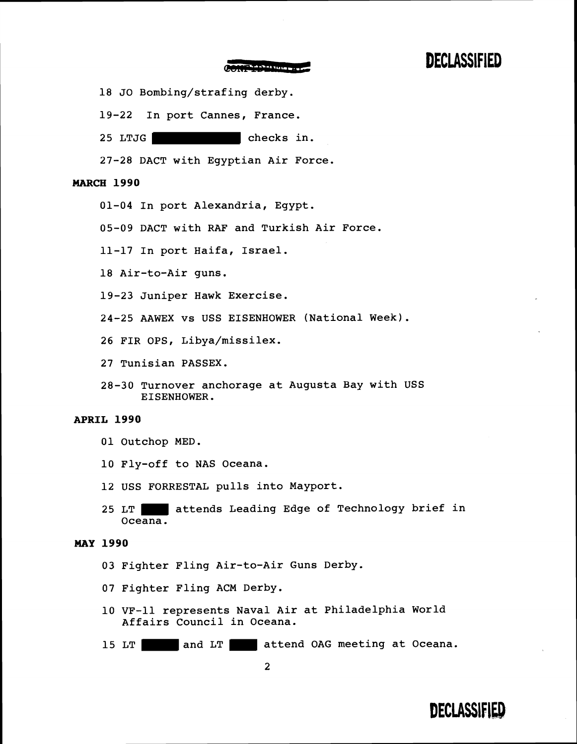### **The Action Section**

- 18 JO Bombing/strafing derby.
- 19-22 In port Cannes, France.
- 25 LTJG checks in.
- 27-28 DACT with Egyptian Air Force.

### *MARCH* **1990**

- 01-04 In port Alexandria, Egypt.
- 05-09 DACT with RAF and Turkish Air Force.
- 11-17 In port Haifa, Israel.
- 18 Air-to-Air guns.
- 19-23 Juniper Hawk Exercise.
- 24-25 AAWEX vs USS EISENHOWER (National Week).
- 26 FIR OPS, Libya/missilex.
- 27 Tunisian PASSEX.
- 28-30 Turnover anchorage at Augusta Bay with USS EISENHOWER.

### **APRIL 1990**

- 01 Outchop MED.
- 10 Fly-off to NAS Oceana.
- 12 USS FORRESTAL pulls into Mayport.
- 25 LT attends Leading Edge of Technology brief in Oceana.

### **MAY 1990**

- 03 Fighter Fling Air-to-Air Guns Derby.
- 07 Fighter Fling ACM Derby.
- 10 VF-11 represents Naval Air at Philadelphia World Affairs Council in Oceana.
- 15 LT and LT attend OAG meeting at Oceana.

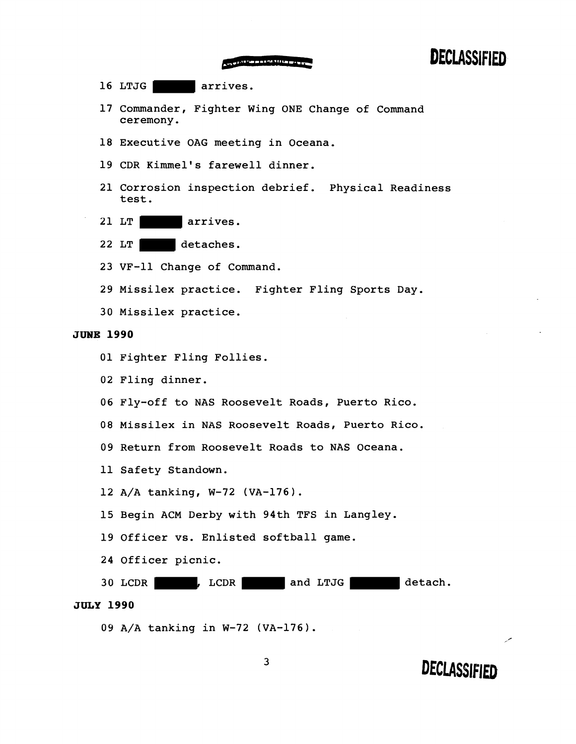ATTOLICITIES SECURITY

## **DECLASSIFIED**

16 LTJG | arrives. 17 Commander, Fighter Wing ONE Change of Command ceremony. 18 Executive OAG meeting in Oceana. 19 CDR Kimmel's farewell dinner. 21 Corrosion inspection debrief. Physical Readiness test.  $21$  LT arrives. 22 LT detaches. 23 VF-11 Change of Command. 29 Missilex practice. Fighter Fling Sports Day. 30 Missilex practice. **JUNE 1990** 01 Fighter Fling Follies. 02 Fling dinner. 06 Fly-off to NAS Roosevelt Roads, Puerto Rico. 08 Missilex in NAS Roosevelt Roads, Puerto Rico. 09 Return from Roosevelt Roads to NAS Oceana. 11 Safety Standown. 12 A/A tanking, W-72 (VA-176). 15 Begin ACM Derby with 94th TFS in Langley. 19 Officer vs. Enlisted softball game. 24 Officer picnic. and LTJG detach.  $30$  LCDR  $\blacksquare$ , LCDR **JULY 1990** 09 A/A tanking in W-72 (VA-176).

 $\overline{3}$ 

DECLASSIFIED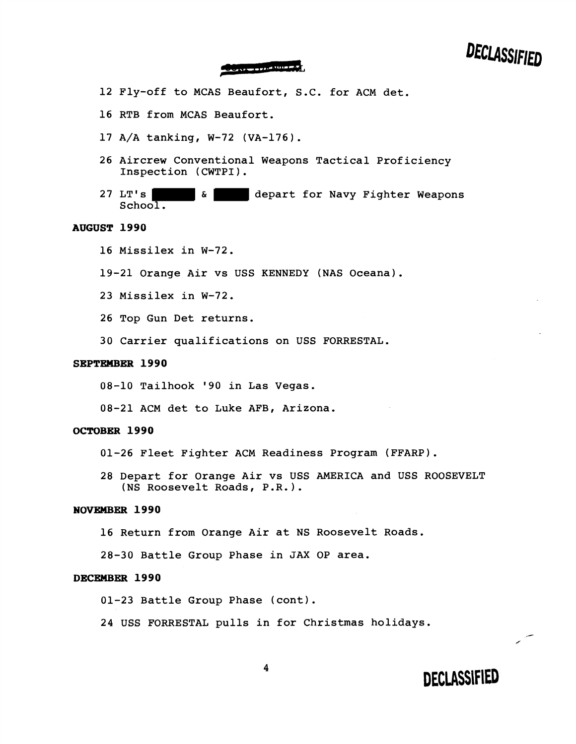### 00.1.1.1.1.1.1.1.1.1.1.1

- 12 Fly-off to MCAS Beaufort, S.C. for ACM det.
- 16 RTB from MCAS Beaufort.
- 17 A/A tanking, W-72 (VA-176).
- 26 Aircrew Conventional Weapons Tactical Proficiency Inspection (CWTPI).
- 27 LT's **C** depart for Navy Fighter Weapons School.

### **AUGUST 1990**

- 16 Missilex in W-72.
- 19-21 Orange Air vs USS KENNEDY (NAS Oceana).
- 23 Missilex in W-72.
- 26 Top Gun Det returns.
- 30 Carrier qualifications on USS FORRESTAL.

### **SEPTEMBER 1990**

08-10 Tailhook '90 in Las Vegas.

08-21 ACM det to Luke AFB, Arizona.

### OCTOBER 1990

- 01-26 Fleet Fighter ACM Readiness Program (FFARP).
- 28 Depart for Orange Air vs USS AMERICA and USS ROOSEVELT (NS Roosevelt Roads, P.R.).

### **NOVEMBER 1990**

- 16 Return from Orange Air at NS Roosevelt Roads.
- 28-30 Battle Group Phase in JAX OP area.

### **DECEMBER 1990**

01-23 Battle Group Phase (cont).

24 USS FORRESTAL pulls in for Christmas holidays.

## **DECLASSIFIED**

 $\overline{\phantom{a}}$